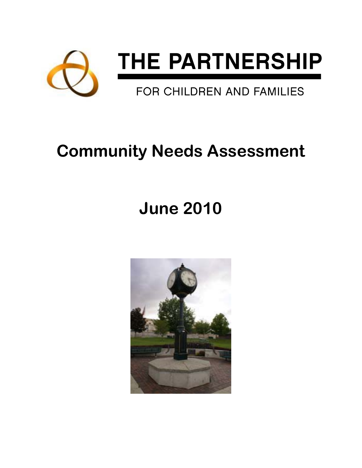

# **Community Needs Assessment**

# **June 2010**

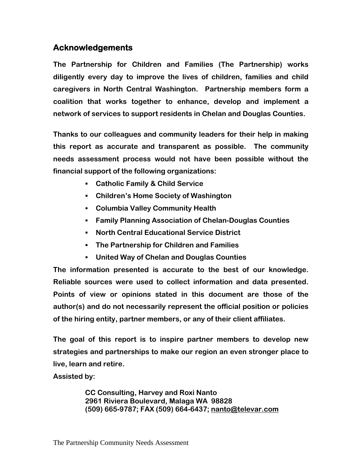## **Acknowledgements**

**The Partnership for Children and Families (The Partnership) works diligently every day to improve the lives of children, families and child caregivers in North Central Washington. Partnership members form a coalition that works together to enhance, develop and implement a network of services to support residents in Chelan and Douglas Counties.** 

**Thanks to our colleagues and community leaders for their help in making this report as accurate and transparent as possible. The community needs assessment process would not have been possible without the financial support of the following organizations:** 

- **Catholic Family & Child Service**
- **Children's Home Society of Washington**
- **Columbia Valley Community Health**
- **Family Planning Association of Chelan-Douglas Counties**
- **North Central Educational Service District**
- **The Partnership for Children and Families**
- **United Way of Chelan and Douglas Counties**

**The information presented is accurate to the best of our knowledge. Reliable sources were used to collect information and data presented. Points of view or opinions stated in this document are those of the author(s) and do not necessarily represent the official position or policies of the hiring entity, partner members, or any of their client affiliates.** 

**The goal of this report is to inspire partner members to develop new strategies and partnerships to make our region an even stronger place to live, learn and retire.** 

**Assisted by:** 

**CC Consulting, Harvey and Roxi Nanto 2961 Riviera Boulevard, Malaga WA 98828 (509) 665-9787; FAX (509) 664-6437; nanto@televar.com**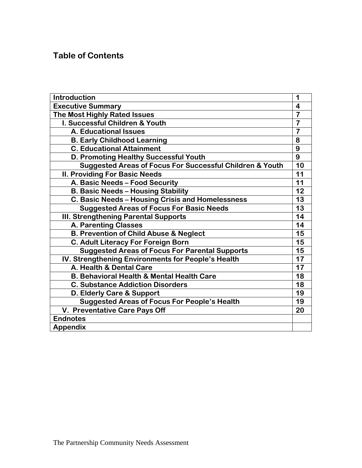## **Table of Contents**

| <b>Introduction</b>                                                 |                         |  |
|---------------------------------------------------------------------|-------------------------|--|
| <b>Executive Summary</b>                                            |                         |  |
| <b>The Most Highly Rated Issues</b>                                 | $\overline{7}$          |  |
| I. Successful Children & Youth                                      | $\overline{7}$          |  |
| <b>A. Educational Issues</b>                                        | $\overline{\mathbf{7}}$ |  |
| <b>B. Early Childhood Learning</b>                                  | 8                       |  |
| <b>C. Educational Attainment</b>                                    | 9                       |  |
| D. Promoting Healthy Successful Youth                               | 9                       |  |
| <b>Suggested Areas of Focus For Successful Children &amp; Youth</b> | 10                      |  |
| <b>II. Providing For Basic Needs</b>                                | 11                      |  |
| A. Basic Needs - Food Security                                      | 11                      |  |
| <b>B. Basic Needs - Housing Stability</b>                           | 12                      |  |
| C. Basic Needs - Housing Crisis and Homelessness                    | 13                      |  |
| <b>Suggested Areas of Focus For Basic Needs</b>                     | 13                      |  |
| III. Strengthening Parental Supports                                | 14                      |  |
| <b>A. Parenting Classes</b>                                         | 14                      |  |
| <b>B. Prevention of Child Abuse &amp; Neglect</b>                   | 15                      |  |
| C. Adult Literacy For Foreign Born                                  | 15                      |  |
| <b>Suggested Areas of Focus For Parental Supports</b>               | 15                      |  |
| IV. Strengthening Environments for People's Health                  | 17                      |  |
| A. Health & Dental Care                                             | 17                      |  |
| B. Behavioral Health & Mental Health Care                           | 18                      |  |
| <b>C. Substance Addiction Disorders</b>                             | 18                      |  |
| D. Elderly Care & Support                                           | 19                      |  |
| <b>Suggested Areas of Focus For People's Health</b>                 | 19                      |  |
| V. Preventative Care Pays Off                                       | 20                      |  |
| <b>Endnotes</b>                                                     |                         |  |
| <b>Appendix</b>                                                     |                         |  |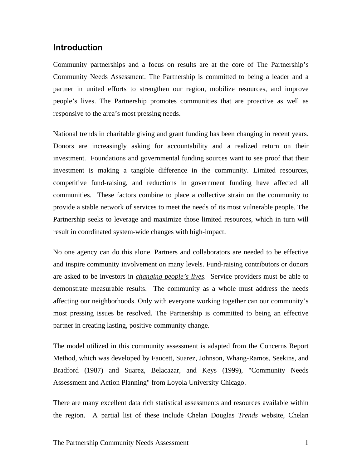## **Introduction**

Community partnerships and a focus on results are at the core of The Partnership's Community Needs Assessment. The Partnership is committed to being a leader and a partner in united efforts to strengthen our region, mobilize resources, and improve people's lives. The Partnership promotes communities that are proactive as well as responsive to the area's most pressing needs.

National trends in charitable giving and grant funding has been changing in recent years. Donors are increasingly asking for accountability and a realized return on their investment. Foundations and governmental funding sources want to see proof that their investment is making a tangible difference in the community. Limited resources, competitive fund-raising, and reductions in government funding have affected all communities. These factors combine to place a collective strain on the community to provide a stable network of services to meet the needs of its most vulnerable people. The Partnership seeks to leverage and maximize those limited resources, which in turn will result in coordinated system-wide changes with high-impact.

No one agency can do this alone. Partners and collaborators are needed to be effective and inspire community involvement on many levels. Fund-raising contributors or donors are asked to be investors in *changing people's lives*. Service providers must be able to demonstrate measurable results. The community as a whole must address the needs affecting our neighborhoods. Only with everyone working together can our community's most pressing issues be resolved. The Partnership is committed to being an effective partner in creating lasting, positive community change.

The model utilized in this community assessment is adapted from the Concerns Report Method, which was developed by Faucett, Suarez, Johnson, Whang-Ramos, Seekins, and Bradford (1987) and Suarez, Belacazar, and Keys (1999), "Community Needs Assessment and Action Planning" from Loyola University Chicago.

There are many excellent data rich statistical assessments and resources available within the region. A partial list of these include Chelan Douglas *Trends* website, Chelan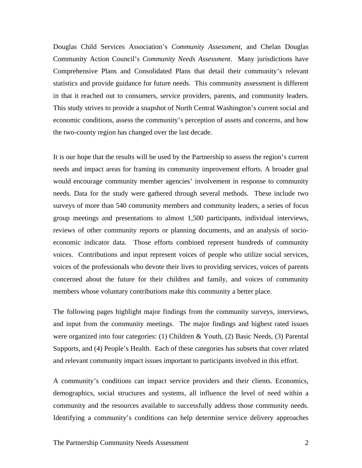Douglas Child Services Association's *Community Assessment*, and Chelan Douglas Community Action Council's *Community Needs Assessment*. Many jurisdictions have Comprehensive Plans and Consolidated Plans that detail their community's relevant statistics and provide guidance for future needs. This community assessment is different in that it reached out to consumers, service providers, parents, and community leaders. This study strives to provide a snapshot of North Central Washington's current social and economic conditions, assess the community's perception of assets and concerns, and how the two-county region has changed over the last decade.

It is our hope that the results will be used by the Partnership to assess the region's current needs and impact areas for framing its community improvement efforts. A broader goal would encourage community member agencies' involvement in response to community needs. Data for the study were gathered through several methods. These include two surveys of more than 540 community members and community leaders, a series of focus group meetings and presentations to almost 1,500 participants, individual interviews, reviews of other community reports or planning documents, and an analysis of socioeconomic indicator data. Those efforts combined represent hundreds of community voices. Contributions and input represent voices of people who utilize social services, voices of the professionals who devote their lives to providing services, voices of parents concerned about the future for their children and family, and voices of community members whose voluntary contributions make this community a better place.

The following pages highlight major findings from the community surveys, interviews, and input from the community meetings. The major findings and highest rated issues were organized into four categories: (1) Children & Youth, (2) Basic Needs, (3) Parental Supports, and (4) People's Health. Each of these categories has subsets that cover related and relevant community impact issues important to participants involved in this effort.

A community's conditions can impact service providers and their clients. Economics, demographics, social structures and systems, all influence the level of need within a community and the resources available to successfully address those community needs. Identifying a community's conditions can help determine service delivery approaches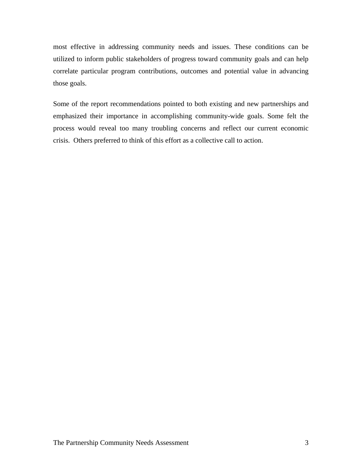most effective in addressing community needs and issues. These conditions can be utilized to inform public stakeholders of progress toward community goals and can help correlate particular program contributions, outcomes and potential value in advancing those goals.

Some of the report recommendations pointed to both existing and new partnerships and emphasized their importance in accomplishing community-wide goals. Some felt the process would reveal too many troubling concerns and reflect our current economic crisis. Others preferred to think of this effort as a collective call to action.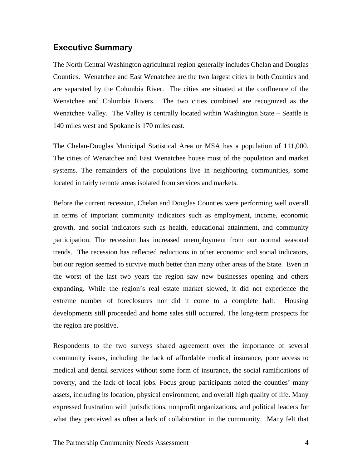### **Executive Summary**

The North Central Washington agricultural region generally includes Chelan and Douglas Counties. Wenatchee and East Wenatchee are the two largest cities in both Counties and are separated by the Columbia River. The cities are situated at the confluence of the Wenatchee and Columbia Rivers. The two cities combined are recognized as the Wenatchee Valley. The Valley is centrally located within Washington State – Seattle is 140 miles west and Spokane is 170 miles east.

The Chelan-Douglas Municipal Statistical Area or MSA has a population of 111,000. The cities of Wenatchee and East Wenatchee house most of the population and market systems. The remainders of the populations live in neighboring communities, some located in fairly remote areas isolated from services and markets.

Before the current recession, Chelan and Douglas Counties were performing well overall in terms of important community indicators such as employment, income, economic growth, and social indicators such as health, educational attainment, and community participation. The recession has increased unemployment from our normal seasonal trends. The recession has reflected reductions in other economic and social indicators, but our region seemed to survive much better than many other areas of the State. Even in the worst of the last two years the region saw new businesses opening and others expanding. While the region's real estate market slowed, it did not experience the extreme number of foreclosures nor did it come to a complete halt. Housing developments still proceeded and home sales still occurred. The long-term prospects for the region are positive.

Respondents to the two surveys shared agreement over the importance of several community issues, including the lack of affordable medical insurance, poor access to medical and dental services without some form of insurance, the social ramifications of poverty, and the lack of local jobs. Focus group participants noted the counties' many assets, including its location, physical environment, and overall high quality of life. Many expressed frustration with jurisdictions, nonprofit organizations, and political leaders for what they perceived as often a lack of collaboration in the community. Many felt that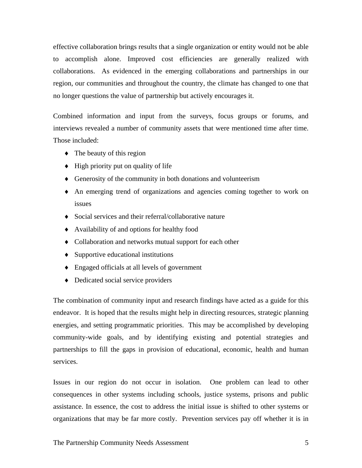effective collaboration brings results that a single organization or entity would not be able to accomplish alone. Improved cost efficiencies are generally realized with collaborations. As evidenced in the emerging collaborations and partnerships in our region, our communities and throughout the country, the climate has changed to one that no longer questions the value of partnership but actively encourages it.

Combined information and input from the surveys, focus groups or forums, and interviews revealed a number of community assets that were mentioned time after time. Those included:

- The beauty of this region
- ♦ High priority put on quality of life
- ♦ Generosity of the community in both donations and volunteerism
- ♦ An emerging trend of organizations and agencies coming together to work on issues
- ♦ Social services and their referral/collaborative nature
- ♦ Availability of and options for healthy food
- ♦ Collaboration and networks mutual support for each other
- ♦ Supportive educational institutions
- ♦ Engaged officials at all levels of government
- ♦ Dedicated social service providers

The combination of community input and research findings have acted as a guide for this endeavor. It is hoped that the results might help in directing resources, strategic planning energies, and setting programmatic priorities. This may be accomplished by developing community-wide goals, and by identifying existing and potential strategies and partnerships to fill the gaps in provision of educational, economic, health and human services.

Issues in our region do not occur in isolation. One problem can lead to other consequences in other systems including schools, justice systems, prisons and public assistance. In essence, the cost to address the initial issue is shifted to other systems or organizations that may be far more costly. Prevention services pay off whether it is in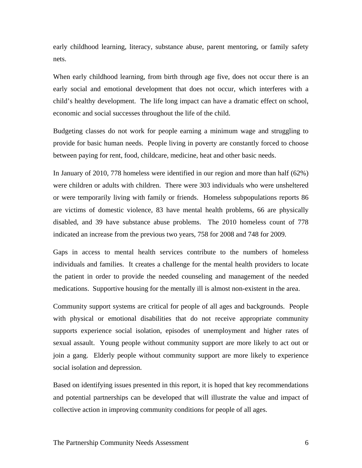early childhood learning, literacy, substance abuse, parent mentoring, or family safety nets.

When early childhood learning, from birth through age five, does not occur there is an early social and emotional development that does not occur, which interferes with a child's healthy development. The life long impact can have a dramatic effect on school, economic and social successes throughout the life of the child.

Budgeting classes do not work for people earning a minimum wage and struggling to provide for basic human needs. People living in poverty are constantly forced to choose between paying for rent, food, childcare, medicine, heat and other basic needs.

In January of 2010, 778 homeless were identified in our region and more than half (62%) were children or adults with children. There were 303 individuals who were unsheltered or were temporarily living with family or friends. Homeless subpopulations reports 86 are victims of domestic violence, 83 have mental health problems, 66 are physically disabled, and 39 have substance abuse problems. The 2010 homeless count of 778 indicated an increase from the previous two years, 758 for 2008 and 748 for 2009.

Gaps in access to mental health services contribute to the numbers of homeless individuals and families. It creates a challenge for the mental health providers to locate the patient in order to provide the needed counseling and management of the needed medications. Supportive housing for the mentally ill is almost non-existent in the area.

Community support systems are critical for people of all ages and backgrounds. People with physical or emotional disabilities that do not receive appropriate community supports experience social isolation, episodes of unemployment and higher rates of sexual assault. Young people without community support are more likely to act out or join a gang. Elderly people without community support are more likely to experience social isolation and depression.

Based on identifying issues presented in this report, it is hoped that key recommendations and potential partnerships can be developed that will illustrate the value and impact of collective action in improving community conditions for people of all ages.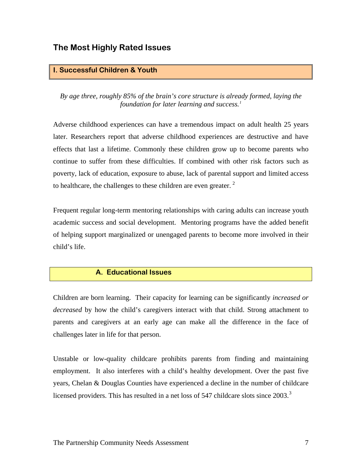## **The Most Highly Rated Issues**

#### **I. Successful Children & Youth**

*By age three, roughly 85% of the brain's core structure is already formed, laying the foundation for later learning and success.[1](#page-23-0)*

Adverse childhood experiences can have a tremendous impact on adult health 25 years later. Researchers report that adverse childhood experiences are destructive and have effects that last a lifetime. Commonly these children grow up to become parents who continue to suffer from these difficulties. If combined with other risk factors such as poverty, lack of education, exposure to abuse, lack of parental support and limited access to healthcare, the challenges to these children are even greater.  $2^2$  $2^2$ 

Frequent regular long-term mentoring relationships with caring adults can increase youth academic success and social development. Mentoring programs have the added benefit of helping support marginalized or unengaged parents to become more involved in their child's life.

## **A. Educational Issues**

Children are born learning. Their capacity for learning can be significantly *increased or decreased* by how the child's caregivers interact with that child. Strong attachment to parents and caregivers at an early age can make all the difference in the face of challenges later in life for that person.

Unstable or low-quality childcare prohibits parents from finding and maintaining employment. It also interferes with a child's healthy development. Over the past five years, Chelan & Douglas Counties have experienced a decline in the number of childcare licensed providers. This has resulted in a net loss of 547 childcare slots since  $2003$  $2003$ .<sup>3</sup>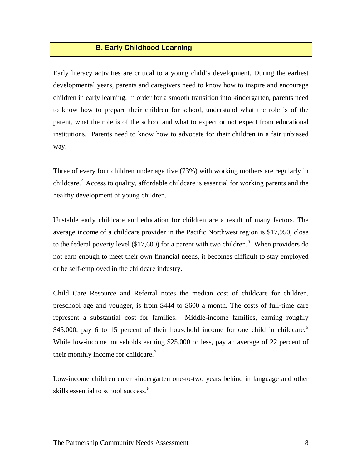## **B. Early Childhood Learning**

Early literacy activities are critical to a young child's development. During the earliest developmental years, parents and caregivers need to know how to inspire and encourage children in early learning. In order for a smooth transition into kindergarten, parents need to know how to prepare their children for school, understand what the role is of the parent, what the role is of the school and what to expect or not expect from educational institutions. Parents need to know how to advocate for their children in a fair unbiased way.

Three of every four children under age five (73%) with working mothers are regularly in childcare.<sup>[4](#page-23-1)</sup> Access to quality, affordable childcare is essential for working parents and the healthy development of young children.

Unstable early childcare and education for children are a result of many factors. The average income of a childcare provider in the Pacific Northwest region is \$17,950, close to the federal poverty level (\$17,600) for a parent with two children.<sup>[5](#page-23-1)</sup> When providers do not earn enough to meet their own financial needs, it becomes difficult to stay employed or be self-employed in the childcare industry.

Child Care Resource and Referral notes the median cost of childcare for children, preschool age and younger, is from \$444 to \$600 a month. The costs of full-time care represent a substantial cost for families. Middle-income families, earning roughly \$45,000, pay [6](#page-23-1) to 15 percent of their household income for one child in childcare.<sup>6</sup> While low-income households earning \$25,000 or less, pay an average of 22 percent of their monthly income for childcare.<sup>7</sup>

Low-income children enter kindergarten one-to-two years behind in language and other skills essential to school success.<sup>[8](#page-23-1)</sup>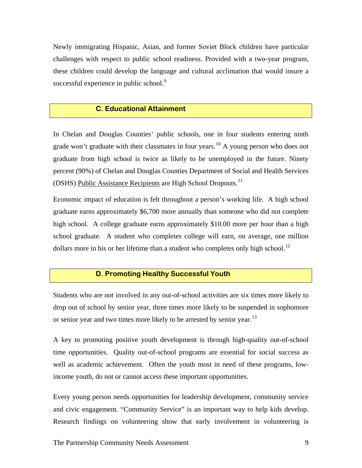Newly immigrating Hispanic, Asian, and former Soviet Block children have particular challenges with respect to public school readiness. Provided with a two-year program, these children could develop the language and cultural acclimation that would insure a successful experience in public school. $9$ 

#### **C. Educational Attainment**

In Chelan and Douglas Counties' public schools, one in four students entering ninth grade won't graduate with their classmates in four years.<sup>[10](#page-23-1)</sup> A young person who does not graduate from high school is twice as likely to be unemployed in the future. Ninety percent (90%) of Chelan and Douglas Counties Department of Social and Health Services (DSHS) Public Assistance Recipients are High School Dropouts.<sup>[11](#page-23-1)</sup>

Economic impact of education is felt throughout a person's working life. A high school graduate earns approximately \$6,700 more annually than someone who did not complete high school. A college graduate earns approximately \$10.00 more per hour than a high school graduate. A student who completes college will earn, on average, one million dollars more in his or her lifetime than a student who completes only high school.<sup>[12](#page-23-1)</sup>

#### **D. Promoting Healthy Successful Youth**

Students who are not involved in any out-of-school activities are six times more likely to drop out of school by senior year, three times more likely to be suspended in sophomore or senior year and two times more likely to be arrested by senior year.<sup>[13](#page-23-1)</sup>

A key to promoting positive youth development is through high-quality out-of-school time opportunities. Quality out-of-school programs are essential for social success as well as academic achievement. Often the youth most in need of these programs, lowincome youth, do not or cannot access these important opportunities.

Every young person needs opportunities for leadership development, community service and civic engagement. "Community Service" is an important way to help kids develop. Research findings on volunteering show that early involvement in volunteering is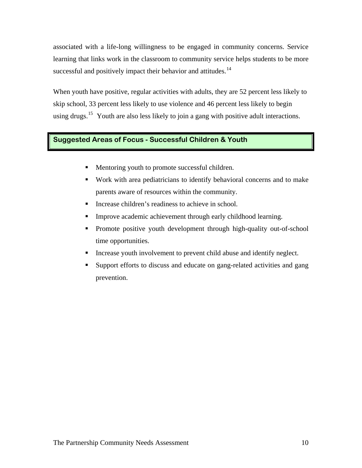associated with a life-long willingness to be engaged in community concerns. Service learning that links work in the classroom to community service helps students to be more successful and positively impact their behavior and attitudes.<sup>[14](#page-23-1)</sup>

When youth have positive, regular activities with adults, they are 52 percent less likely to skip school, 33 percent less likely to use violence and 46 percent less likely to begin using drugs.<sup>[15](#page-23-1)</sup> Youth are also less likely to join a gang with positive adult interactions.

#### **Suggested Areas of Focus - Successful Children & Youth**

- **Mentoring youth to promote successful children.**
- Work with area pediatricians to identify behavioral concerns and to make parents aware of resources within the community.
- Increase children's readiness to achieve in school.
- **Improve academic achievement through early childhood learning.**
- Promote positive youth development through high-quality out-of-school time opportunities.
- Increase youth involvement to prevent child abuse and identify neglect.
- Support efforts to discuss and educate on gang-related activities and gang prevention.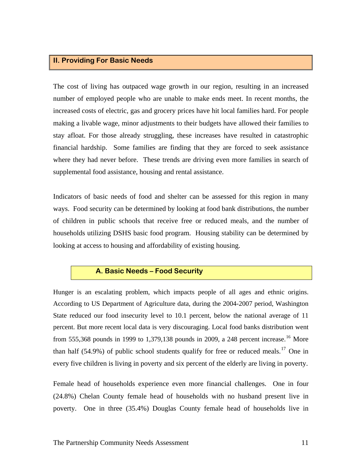#### **II. Providing For Basic Needs**

The cost of living has outpaced wage growth in our region, resulting in an increased number of employed people who are unable to make ends meet. In recent months, the increased costs of electric, gas and grocery prices have hit local families hard. For people making a livable wage, minor adjustments to their budgets have allowed their families to stay afloat. For those already struggling, these increases have resulted in catastrophic financial hardship. Some families are finding that they are forced to seek assistance where they had never before. These trends are driving even more families in search of supplemental food assistance, housing and rental assistance.

Indicators of basic needs of food and shelter can be assessed for this region in many ways. Food security can be determined by looking at food bank distributions, the number of children in public schools that receive free or reduced meals, and the number of households utilizing DSHS basic food program. Housing stability can be determined by looking at access to housing and affordability of existing housing.

#### **A. Basic Needs – Food Security**

Hunger is an escalating problem, which impacts people of all ages and ethnic origins. According to US Department of Agriculture data, during the 2004-2007 period, Washington State reduced our food insecurity level to 10.1 percent, below the national average of 11 percent. But more recent local data is very discouraging. Local food banks distribution went from 555,368 pounds in 1999 to 1,379,138 pounds in 2009, a 248 percent increase.<sup>[16](#page-23-1)</sup> More than half  $(54.9\%)$  of public school students qualify for free or reduced meals.<sup>[17](#page-23-1)</sup> One in every five children is living in poverty and six percent of the elderly are living in poverty.

Female head of households experience even more financial challenges. One in four (24.8%) Chelan County female head of households with no husband present live in poverty. One in three (35.4%) Douglas County female head of households live in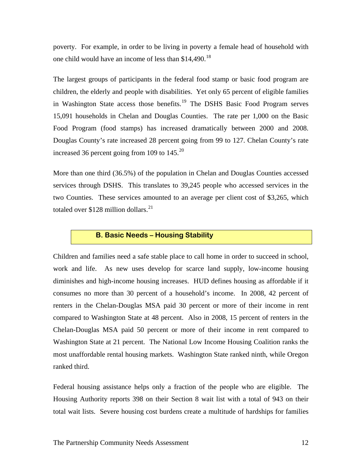poverty. For example, in order to be living in poverty a female head of household with one child would have an income of less than \$14,490.<sup>[18](#page-23-1)</sup>

The largest groups of participants in the federal food stamp or basic food program are children, the elderly and people with disabilities. Yet only 65 percent of eligible families in Washington State access those benefits.<sup>[19](#page-23-1)</sup> The DSHS Basic Food Program serves 15,091 households in Chelan and Douglas Counties. The rate per 1,000 on the Basic Food Program (food stamps) has increased dramatically between 2000 and 2008. Douglas County's rate increased 28 percent going from 99 to 127. Chelan County's rate increased 36 percent going from 109 to  $145.^{20}$  $145.^{20}$  $145.^{20}$ 

More than one third (36.5%) of the population in Chelan and Douglas Counties accessed services through DSHS. This translates to 39,245 people who accessed services in the two Counties. These services amounted to an average per client cost of \$3,265, which totaled over \$128 million dollars.<sup>[21](#page-23-1)</sup>

## **B. Basic Needs – Housing Stability**

Children and families need a safe stable place to call home in order to succeed in school, work and life. As new uses develop for scarce land supply, low-income housing diminishes and high-income housing increases. HUD defines housing as affordable if it consumes no more than 30 percent of a household's income. In 2008, 42 percent of renters in the Chelan-Douglas MSA paid 30 percent or more of their income in rent compared to Washington State at 48 percent. Also in 2008, 15 percent of renters in the Chelan-Douglas MSA paid 50 percent or more of their income in rent compared to Washington State at 21 percent. The National Low Income Housing Coalition ranks the most unaffordable rental housing markets. Washington State ranked ninth, while Oregon ranked third.

Federal housing assistance helps only a fraction of the people who are eligible. The Housing Authority reports 398 on their Section 8 wait list with a total of 943 on their total wait lists. Severe housing cost burdens create a multitude of hardships for families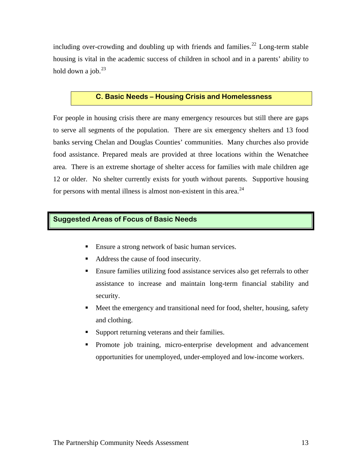including over-crowding and doubling up with friends and families.<sup>[22](#page-23-1)</sup> Long-term stable housing is vital in the academic success of children in school and in a parents' ability to hold down a job. $^{23}$  $^{23}$  $^{23}$ 

#### **C. Basic Needs – Housing Crisis and Homelessness**

For people in housing crisis there are many emergency resources but still there are gaps to serve all segments of the population. There are six emergency shelters and 13 food banks serving Chelan and Douglas Counties' communities. Many churches also provide food assistance. Prepared meals are provided at three locations within the Wenatchee area. There is an extreme shortage of shelter access for families with male children age 12 or older. No shelter currently exists for youth without parents. Supportive housing for persons with mental illness is almost non-existent in this area.<sup>[24](#page-23-1)</sup>

#### **Suggested Areas of Focus of Basic Needs**

- **Ensure a strong network of basic human services.**
- Address the cause of food insecurity.
- Ensure families utilizing food assistance services also get referrals to other assistance to increase and maintain long-term financial stability and security.
- Meet the emergency and transitional need for food, shelter, housing, safety and clothing.
- Support returning veterans and their families.
- Promote job training, micro-enterprise development and advancement opportunities for unemployed, under-employed and low-income workers.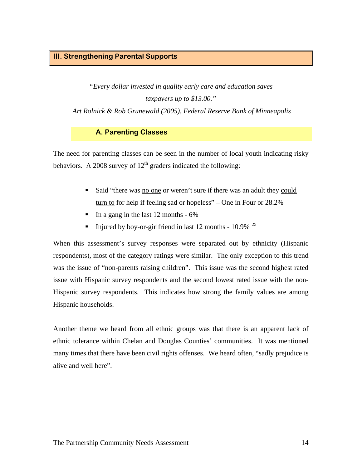## **III. Strengthening Parental Supports**

*"Every dollar invested in quality early care and education saves taxpayers up to \$13.00."* 

 *Art Rolnick & Rob Grunewald (2005), Federal Reserve Bank of Minneapolis* 

#### **A. Parenting Classes**

The need for parenting classes can be seen in the number of local youth indicating risky behaviors. A 2008 survey of  $12<sup>th</sup>$  graders indicated the following:

- Said "there was no one or weren't sure if there was an adult they could turn to for help if feeling sad or hopeless" – One in Four or 28.2%
- In a gang in the last 12 months  $-6\%$
- Injured by boy-or-girlfriend in last 12 months  $10.9\%$ <sup>[25](#page-23-1)</sup>

When this assessment's survey responses were separated out by ethnicity (Hispanic respondents), most of the category ratings were similar. The only exception to this trend was the issue of "non-parents raising children". This issue was the second highest rated issue with Hispanic survey respondents and the second lowest rated issue with the non-Hispanic survey respondents. This indicates how strong the family values are among Hispanic households.

Another theme we heard from all ethnic groups was that there is an apparent lack of ethnic tolerance within Chelan and Douglas Counties' communities. It was mentioned many times that there have been civil rights offenses. We heard often, "sadly prejudice is alive and well here".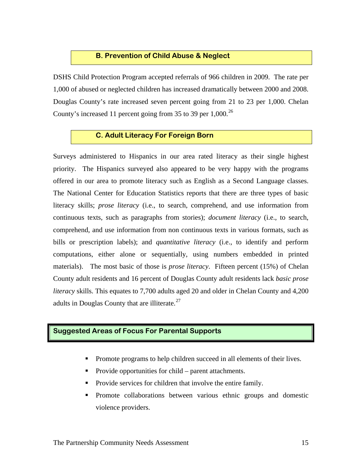#### **B. Prevention of Child Abuse & Neglect**

DSHS Child Protection Program accepted referrals of 966 children in 2009. The rate per 1,000 of abused or neglected children has increased dramatically between 2000 and 2008. Douglas County's rate increased seven percent going from 21 to 23 per 1,000. Chelan County's increased 11 percent going from 35 to 39 per  $1,000$ .<sup>[26](#page-23-1)</sup>

#### **C. Adult Literacy For Foreign Born**

Surveys administered to Hispanics in our area rated literacy as their single highest priority. The Hispanics surveyed also appeared to be very happy with the programs offered in our area to promote literacy such as English as a Second Language classes. The National Center for Education Statistics reports that there are three types of basic literacy skills; *prose literacy* (i.e., to search, comprehend, and use information from continuous texts, such as paragraphs from stories); *document literacy* (i.e., to search, comprehend, and use information from non continuous texts in various formats, such as bills or prescription labels); and *quantitative literacy* (i.e., to identify and perform computations, either alone or sequentially, using numbers embedded in printed materials). The most basic of those is *prose literacy*. Fifteen percent (15%) of Chelan County adult residents and 16 percent of Douglas County adult residents lack *basic prose literacy* skills. This equates to 7,700 adults aged 20 and older in Chelan County and 4,200 adults in Douglas County that are illiterate. $27$ 

#### **Suggested Areas of Focus For Parental Supports**

- Promote programs to help children succeed in all elements of their lives.
- Provide opportunities for child parent attachments.
- Provide services for children that involve the entire family.
- Promote collaborations between various ethnic groups and domestic violence providers.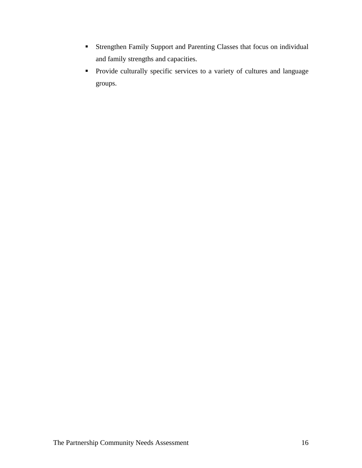- Strengthen Family Support and Parenting Classes that focus on individual and family strengths and capacities.
- **Provide culturally specific services to a variety of cultures and language** groups.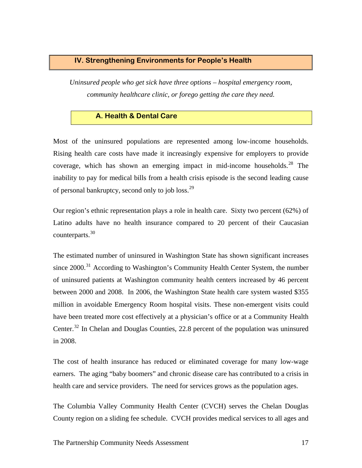#### **IV. Strengthening Environments for People's Health**

*Uninsured people who get sick have three options – hospital emergency room, community healthcare clinic, or forego getting the care they need.* 

#### **A. Health & Dental Care**

Most of the uninsured populations are represented among low-income households. Rising health care costs have made it increasingly expensive for employers to provide coverage, which has shown an emerging impact in mid-income households.<sup>[28](#page-23-1)</sup> The inability to pay for medical bills from a health crisis episode is the second leading cause of personal bankruptcy, second only to job loss.<sup>[29](#page-23-1)</sup>

Our region's ethnic representation plays a role in health care. Sixty two percent (62%) of Latino adults have no health insurance compared to 20 percent of their Caucasian counterparts.[30](#page-23-1)

The estimated number of uninsured in Washington State has shown significant increases since  $2000$ <sup>[31](#page-23-1)</sup> According to Washington's Community Health Center System, the number of uninsured patients at Washington community health centers increased by 46 percent between 2000 and 2008. In 2006, the Washington State health care system wasted \$355 million in avoidable Emergency Room hospital visits. These non-emergent visits could have been treated more cost effectively at a physician's office or at a Community Health Center.<sup>[32](#page-23-1)</sup> In Chelan and Douglas Counties, 22.8 percent of the population was uninsured in 2008.

The cost of health insurance has reduced or eliminated coverage for many low-wage earners. The aging "baby boomers" and chronic disease care has contributed to a crisis in health care and service providers. The need for services grows as the population ages.

The Columbia Valley Community Health Center (CVCH) serves the Chelan Douglas County region on a sliding fee schedule. CVCH provides medical services to all ages and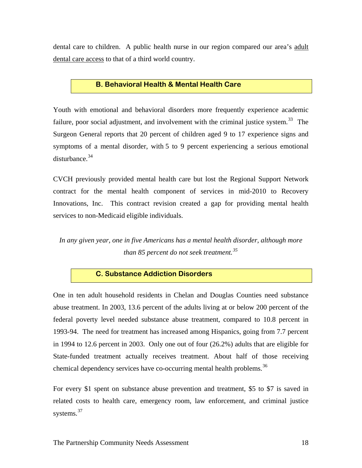dental care to children. A public health nurse in our region compared our area's adult dental care access to that of a third world country.

#### **B. Behavioral Health & Mental Health Care**

Youth with emotional and behavioral disorders more frequently experience academic failure, poor social adjustment, and involvement with the criminal justice system. $33$  The Surgeon General reports that 20 percent of children aged 9 to 17 experience signs and symptoms of a mental disorder, with 5 to 9 percent experiencing a serious emotional  $distance<sup>34</sup>$  $distance<sup>34</sup>$  $distance<sup>34</sup>$ 

CVCH previously provided mental health care but lost the Regional Support Network contract for the mental health component of services in mid-2010 to Recovery Innovations, Inc. This contract revision created a gap for providing mental health services to non-Medicaid eligible individuals.

*In any given year, one in five Americans has a mental health disorder, although more than 85 percent do not seek treatment.[35](#page-24-0)* 

## **C. Substance Addiction Disorders**

One in ten adult household residents in Chelan and Douglas Counties need substance abuse treatment. In 2003, 13.6 percent of the adults living at or below 200 percent of the federal poverty level needed substance abuse treatment, compared to 10.8 percent in 1993-94. The need for treatment has increased among Hispanics, going from 7.7 percent in 1994 to 12.6 percent in 2003. Only one out of four (26.2%) adults that are eligible for State-funded treatment actually receives treatment. About half of those receiving chemical dependency services have co-occurring mental health problems.<sup>[36](#page-24-0)</sup>

For every \$1 spent on substance abuse prevention and treatment, \$5 to \$7 is saved in related costs to health care, emergency room, law enforcement, and criminal justice systems. $37$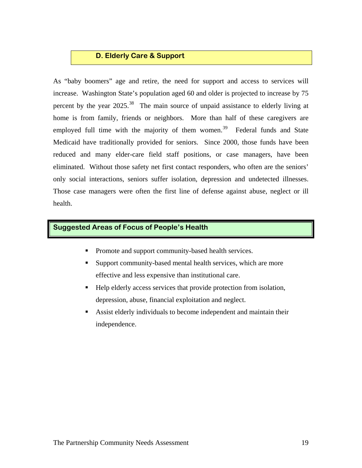#### **D. Elderly Care & Support**

As "baby boomers" age and retire, the need for support and access to services will increase. Washington State's population aged 60 and older is projected to increase by 75 percent by the year 2025.<sup>[38](#page-24-0)</sup> The main source of unpaid assistance to elderly living at home is from family, friends or neighbors. More than half of these caregivers are employed full time with the majority of them women.<sup>[39](#page-24-0)</sup> Federal funds and State Medicaid have traditionally provided for seniors. Since 2000, those funds have been reduced and many elder-care field staff positions, or case managers, have been eliminated. Without those safety net first contact responders, who often are the seniors' only social interactions, seniors suffer isolation, depression and undetected illnesses. Those case managers were often the first line of defense against abuse, neglect or ill health.

## **Suggested Areas of Focus of People's Health**

- Promote and support community-based health services.
- Support community-based mental health services, which are more effective and less expensive than institutional care.
- Help elderly access services that provide protection from isolation, depression, abuse, financial exploitation and neglect.
- Assist elderly individuals to become independent and maintain their independence.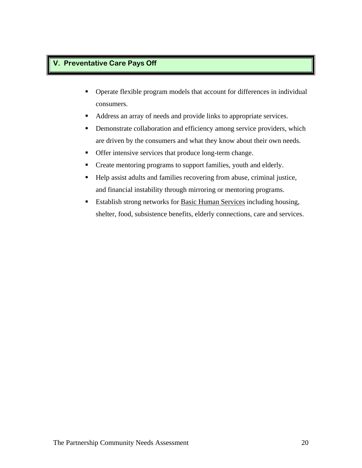## **V. Preventative Care Pays Off**

- Operate flexible program models that account for differences in individual consumers.
- Address an array of needs and provide links to appropriate services.
- **•** Demonstrate collaboration and efficiency among service providers, which are driven by the consumers and what they know about their own needs.
- **•** Offer intensive services that produce long-term change.
- Create mentoring programs to support families, youth and elderly.
- Help assist adults and families recovering from abuse, criminal justice, and financial instability through mirroring or mentoring programs.
- **Establish strong networks for Basic Human Services including housing,** shelter, food, subsistence benefits, elderly connections, care and services.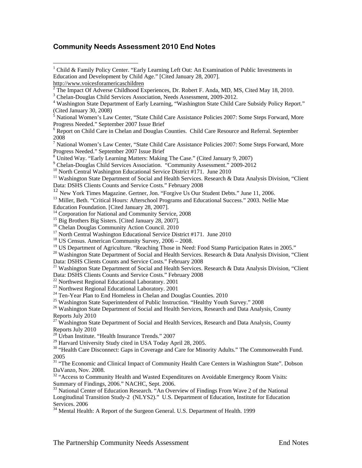## <span id="page-23-1"></span>**Community Needs Assessment 2010 End Notes**

http://www.voicesforamericaschildren

 $\overline{a}$ 

<sup>9</sup> Chelan-Douglas Child Services Association. "Community Assessment." 2009-2012<br><sup>10</sup> North Central Washington Educational Service District #171. June 2010

<sup>12</sup> New York Times Magazine. Gertner, Jon. "Forgive Us Our Student Debts." June 11, 2006.

<sup>13</sup> Miller, Beth. "Critical Hours: Afterschool Programs and Educational Success." 2003. Nellie Mae

Education Foundation. [Cited January 28, 2007].

- <sup>15</sup> Big Brothers Big Sisters. [Cited January 28, 2007].
- <sup>16</sup> Chelan Douglas Community Action Council. 2010

<sup>17</sup> North Central Washington Educational Service District #171. June 2010

- 
- <sup>18</sup> US Census. American Community Survey,  $2006 2008$ .<br><sup>19</sup> US Department of Agriculture. "Reaching Those in Need: Food Stamp Participation Rates in 2005."

<sup>21</sup> Washington State Department of Social and Health Services. Research & Data Analysis Division, "Client" Data: DSHS Clients Counts and Service Costs." February 2008

 $22$  Northwest Regional Educational Laboratory. 2001

<sup>23</sup> Northwest Regional Educational Laboratory. 2001

<sup>24</sup> Ten-Year Plan to End Homeless in Chelan and Douglas Counties. 2010

 $25$  Washington State Superintendent of Public Instruction. "Healthy Youth Survey." 2008

<sup>26</sup> Washington State Department of Social and Health Services, Research and Data Analysis, County Reports July 2010

 $27 \text{ Washington State Department of Social and Health Services, Research and Data Analysis, County}$ Reports July 2010

28 Urban Institute. "Health Insurance Trends." 2007

<sup>29</sup> Harvard University Study cited in USA Today April 28, 2005.

<sup>30</sup> "Health Care Disconnect: Gaps in Coverage and Care for Minority Adults." The Commonwealth Fund. 2005

<sup>31</sup> "The Economic and Clinical Impact of Community Health Care Centers in Washington State". Dobson DaVanzo, Nov. 2008.

<sup>32</sup> "Access to Community Health and Wasted Expenditures on Avoidable Emergency Room Visits: Summary of Findings, 2006." NACHC, Sept. 2006.

<sup>33</sup> National Center of Education Research. "An Overview of Findings From Wave 2 of the National Longitudinal Transition Study-2 (NLYS2)." U.S. Department of Education, Institute for Education Services. 2006

<sup>34</sup> Mental Health: A Report of the Surgeon General. U.S. Department of Health. 1999

<span id="page-23-0"></span><sup>&</sup>lt;sup>1</sup> Child & Family Policy Center. "Early Learning Left Out: An Examination of Public Investments in Education and Development by Child Age." [Cited January 28, 2007].

<sup>&</sup>lt;sup>2</sup> The Impact Of Adverse Childhood Experiences, Dr. Robert F. Anda, MD, MS, Cited May 18, 2010.

<sup>&</sup>lt;sup>3</sup> Chelan-Douglas Child Services Association, Needs Assessment, 2009-2012.

Washington State Department of Early Learning, "Washington State Child Care Subsidy Policy Report."

<sup>(</sup>Cited January 30, 2008)<br><sup>5</sup> National Women's Law Center, ''State Child Care Assistance Policies 2007: Some Steps Forward, More Progress Needed." September 2007 Issue Brief

<sup>&</sup>lt;sup>6</sup> Report on Child Care in Chelan and Douglas Counties. Child Care Resource and Referral. September 2008

<sup>&</sup>lt;sup>7</sup> National Women's Law Center, "State Child Care Assistance Policies 2007: Some Steps Forward, More Progress Needed." September 2007 Issue Brief

<sup>&</sup>lt;sup>8</sup> United Way. "Early Learning Matters: Making The Case." (Cited January 9, 2007)

<sup>&</sup>lt;sup>11</sup> Washington State Department of Social and Health Services. Research & Data Analysis Division, "Client Data: DSHS Clients Counts and Service Costs." February 2008

<sup>&</sup>lt;sup>14</sup> Corporation for National and Community Service, 2008

<sup>&</sup>lt;sup>20</sup> Washington State Department of Social and Health Services. Research & Data Analysis Division, "Client Data: DSHS Clients Counts and Service Costs." February 2008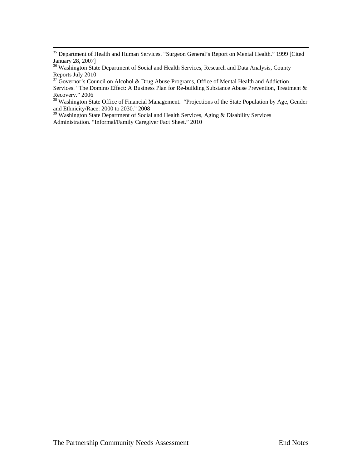<span id="page-24-0"></span><sup>35</sup> Department of Health and Human Services. "Surgeon General's Report on Mental Health." 1999 [Cited January 28, 2007]

<sup>36</sup> Washington State Department of Social and Health Services, Research and Data Analysis, County Reports July 2010

<sup>37</sup> Governor's Council on Alcohol & Drug Abuse Programs, Office of Mental Health and Addiction Services. "The Domino Effect: A Business Plan for Re-building Substance Abuse Prevention, Treatment & Recovery." 2006

<sup>38</sup> Washington State Office of Financial Management. "Projections of the State Population by Age, Gender and Ethnicity/Race: 2000 to 2030." 2008

<sup>39</sup> Washington State Department of Social and Health Services, Aging & Disability Services Administration. "Informal/Family Caregiver Fact Sheet." 2010